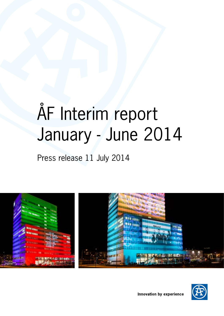# ÅF Interim report January - June 2014

Press release 11 July 2014



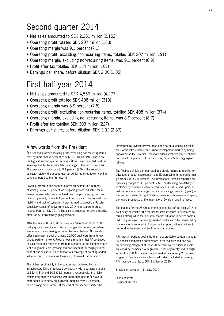# Second quarter 2014

- Net sales amounted to SEK 2,281 million (2,152)
- Operating profit totalled SEK 207 million (153)
- Operating margin was 9.1 percent (7.1)
- Operating profit, excluding non-recurring items, totalled SEK 207 million (191)
- Operating margin, excluding non-recurring items, was 9.1 percent (8.9)
- Profit after tax totalled SEK 154 million (107)
- Earnings per share, before dilution: SEK 2.00 (1.35)

# First half year 2014

- Net sales amounted to SEK 4,556 million (4,277)
- Operating profit totalled SEK 408 million (319)
- Operating margin was 8.9 percent (7.5)
- Operating profit, excluding non-recurring items, totalled SEK 408 million (374)
- Operating margin, excluding non-recurring items, was 8.9 percent (8.7)
- Profit after tax totalled SEK 303 million (227)
- Earnings per share, before dilution: SEK 3.92 (2.87)

# A few words from the President

ÅF's second-quarter operating profit, excluding non-recurring items, rose by more than 8 percent to SEK 207 million (191). These are the highest second quarter earnings ÅF has ever reported, and the same applies to the accumulated earnings of the first six months. The operating margin rose to 9.1 percent (8.9) in the second quarter. Notably, the second quarter contained three fewer working days compared to the first quarter.

Revenue growth in the second quarter amounted to 6 percent, of which just over 2 percent was organic growth. Adjusted for ÅF Russia, whose sales have declined over the past year, growth was nearly 8 percent, of which 4 percent was organic. Due to weak profitability and lack of synergies it was agreed to divest the Russian subsidiary Lonas effective from July 2014 (see separate press release from 11 July 2014). The sale is expected to have a positive effect on ÅF's profitability going forward.

After the sale in Russia, ÅF will have a workforce of about 7,000 highly qualified employees, with a stronger and more comprehensive range of engineering services than ever before. ÅF can also offer customers a pool of around 20,000 engineers from its own unique partner network. Proof of our strength is that ÅF continues to gain more and more trust from its customers; the number of project assignments are growing and now account for roughly 60 percent of our business, which follows our strategy of creating added value for our customers via long-term, close-knit partnerships.

The highest profitability in the quarter was delivered by the Infrastructure Division followed by Industry, with operating margins of 12.4 (13.3) and 10.6 (11.3) percent, respectively. It is highly satisfactory that two divisions with more than half of ÅF's overall staff continue to show high growth, margins over 10 percent, and a strong order intake. At the end of the second quarter the

Infrastructure Division proved once again to be a leading player in the Nordic infrastructure and urban development market by being appointed as the Swedish Transport Administration's chief technical consultant for phase 1 of the East Link, Sweden's first high-speed railway.

The Technology Division operated in a slowly improving market for advanced product development and IT, increasing its operating margin from 7.0 to 7.6 percent. The International Division reported an operating margin of 3.3 percent (7.6). The declining profitability is explained by continued weak performance in Russia and Spain, as well as non-recurring charges for a cost savings program (Spain) in the second quarter. In light of steps taken in both Russia and Spain, the future prospects of the International Division have improved.

The outlook for the ÅF Group in the second half of the year 2014 is cautiously optimistic. The market for infrastructure is estimated to remain strong while the industrial market situation is better compared to a year ago. The energy market continues to be influenced by low levels of investment in Europe, while opportunities continue to be good in the Asian and South American markets.

ÅF's most important goal is be the most profitable company among its closest comparable competitors in the industry and achieve an operating margin of at least 10 percent over a business cycle. This shall be combined with growth – both organically and through acquisitions. At ÅF's annual capital market day in early 2014, new long-term objectives were introduced , which included increasing ÅF's revenue to at least EUR 2 billion by 2020.

Stockholm, Sweden – 11 July, 2014

Jonas Wiström President and CEO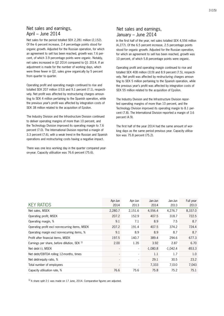### Net sales and earnings, April – June 2014

Net sales for the period totalled SEK 2,281 million (2,152). Of the 6 percent increase, 2.4 percentage points stood for organic growth. Adjusted for the Russian operation, for which an agreement to sell has been reached, growth was 7.6 percent, of which 3.9 percentage points were organic. Notably, net sales increased in Q2 2014 compared to Q1 2014. If an adjustment is made for the number of working days, which were three fewer in Q2, sales grew organically by 5 percent from quarter to quarter.

Operating profit and operating margin continued to rise and totalled SEK 207 million (153) and 9.1 percent (7.1), respectively. Net profit was affected by restructuring charges amounting to SEK 4 million pertaining to the Spanish operation, while the previous year's profit was affected by integration costs of SEK 38 million related to the acquisition of Epsilon.

The Industry Division and the Infrastructure Division continued to deliver operating margins of more than 10 percent, and the Technology Division improved its operating margin to 7.6 percent (7.0). The International Division reported a margin of 3.3 percent (7.6), with a weak trend in the Russian and Spanish operations and restructuring costs having a negative impact.

There was one less working day in the quarter compared yearon-year. Capacity utilisation was 76.6 percent (75.6).

# Net sales and earnings, January – June 2014

In the first half of the year, net sales totalled SEK 4,556 million (4,277). Of the 6.5 percent increase, 2.5 percentage points stood for organic growth. Adjusted for the Russian operation, for which an agreement to sell has been reached, growth was 10 percent, of which 5.8 percentage points were organic.

Operating profit and operating margin continued to rise and totalled SEK 408 million (319) and 8.9 percent (7.5), respectively. Net profit was affected by restructuring charges amounting to SEK 5 million pertaining to the Spanish operation, while the previous year's profit was affected by integration costs of SEK 55 million related to the acquisition of Epsilon.

The Industry Division and the Infrastructure Division reported operating margins of more than 10 percent, and the Technology Division improved its operating margin to 8.1 percent (7.8). The International Division reported a margin of 3.6 percent (4.9).

The first half of the year 2014 had the same amount of working days as the same period previous year. Capacity utilisation was 75.8 percent (75.2).

| <b>KEY RATIOS</b>                               | Apr-Jun<br>2014          | Apr-Jun<br>2013 | Jan-Jun<br>2014 | Jan-Jun<br>2013 | Full year<br>2013 |
|-------------------------------------------------|--------------------------|-----------------|-----------------|-----------------|-------------------|
| Net sales, MSEK                                 | 2,280.7                  | 2,151.6         | 4,556.4         | 4,276.7         | 8,337.0           |
| Operating profit, MSEK                          | 207.2                    | 152.9           | 407.5           | 318.7           | 722.5             |
| Operating margin, %                             | 9.1                      | 7.1             | 8.9             | 7.5             | 8.7               |
| Operating profit excl non-recurring items, MSEK | 207.2                    | 191.4           | 407.5           | 374.2           | 724.4             |
| Operating margin excl non-recurring items, %    | 9.1                      | 8.9             | 8.9             | 8.7             | 8.7               |
| Profit after financial items, MSEK              | 197.5                    | 140.7           | 389.4           | 294.6           | 677.3             |
| Earnings per share, before dillution, SEK 1)    | 2.00                     | 1.35            | 3.92            | 2.87            | 6.70              |
| Net debt (-), MSEK                              | $\overline{\phantom{a}}$ | ٠               | $-1,080.8$      | $-1,042.4$      | $-853.3$          |
| Net debt/EBITDA rolling 12-months, times        | $\overline{\phantom{a}}$ |                 | 1.1             | 1.7             | 1.0               |
| Net debt-equity ratio, %                        | ٠                        |                 | 29.1            | 30.5            | 23.2              |
| Total number of employees                       | $\overline{\phantom{a}}$ |                 | 7.333           | 7,010           | 7,043             |
| Capacity utilisation rate, %                    | 76.6                     | 75.6            | 75.8            | 75.2            | 75.1              |

 $1)$  A share split 2:1 was made on 17 June, 2014. Comparative figures are adjusted.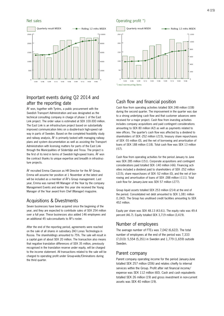

# Important events during Q2 2014 and after the reporting date

ÅF won, together with Tyréns, a public procurement with the Swedish Transport Administration and was designated as the technical consulting company in charge of phase 1 of the East Link project. The order value is estimated at SEK 100-300 million. The East Link is an infrastructure project based on substantially improved communication links on a double-track high-speed railway in parts of Sweden. Based on the completed feasibility study and railway analysis, ÅF is primarily tasked with managing railway plans and system documentation as well as assisting the Transport Administration with licensing matters for parts of the East Link through the Municipalities of Södertälje and Trosa. The project is the first of its kind in terms of Swedish high-speed trains. ÅF won the contract thanks to unique expertise and breadth in infrastructure projects.

ÅF recruited Emma Claesson as HR Director for the ÅF Group. Emma will assume her position at 1 November at the latest and will be included as a member of ÅF's Group management. Last year, Emma was named HR Manager of the Year by the company Management Events and earlier this year she received the Young Manager of the Year award from Chef (Manager) magazine.

# Acquisitions & Divestments

Seven businesses have been acquired since the beginning of the year, and they are expected to contribute sales of SEK 254 million over a full year. These businesses also added 146 employees and an additional 45 sub-consultants to ÅF's roster.

After the end of the reporting period, agreements were reached on the sale of all shares in subsidiary ZAO Lonas Technologia in Russia. The shareholdings amounted to 75%. The sale will result in a capital gain of about SEK 20 million. The transaction also means that negative translation differences of SEK 35 million, previously recognised in the translation reserve under equity, will be charged to the income statement. All transactions related to the sale will be charged to operating profit under Group-wide/Eliminations during the thrid quarter.

#### Net sales **Operating profit** \*)



# Cash flow and financial position

Cash flow from operating activities totalled SEK 248 million (108) during the second quarter. The improvement in the quarter was due to a strong underlying cash flow and that customer advances were received for a major project. Cash flow from investing activities includes company acquisitions and paid contingent considerations amounting to SEK 80 million (42) as well as payments related to new offices. The quarter's cash flow was affected by a dividend to shareholders of SEK -252 million (-215), treasury share repurchases of SEK -55 million (0), and the net of borrowing and amortisation of loans of SEK 188 million (118). Total cash flow was SEK 13 million (-57).

Cash flow from operating activities for the period January to June was SEK 285 million (151). Corporate acquisitions and contingent considerations paid totalled SEK -140 million (-66). Financing activities included a dividend paid to shareholders of SEK -252 million (-215), share repurchases of SEK -52 million (0), and the net of borrowing and amortisation of loans of SEK -288 million (-111). Total cash flow for January-June was SEK 57 million (-277).

Group liquid assets totalled SEK 253 million (214) at the end of the period. Consolidated net debt amounted to SEK 1,081 million (1,042). The Group has unutilised credit facilities amounting to SEK 452 million.

Equity per share was SEK 48.13 (43.61). The equity ratio was 49.4 percent (46.7). Equity totalled SEK 3,719 million (3,419).

### Number of employees

The average number of FTEs was 7,042 (6,622). The total number of employees at the end of the period was 7,333 (7,010): 5,554 (5,351) in Sweden and 1,779 (1,659) outside Sweden.

### Parent company

Parent company operating income for the period January-June totalled SEK 257 million (206) and relates chiefly to internal services within the Group. Profit after net financial income/ expense was SEK 112 million (60). Cash and cash equivalents totalled SEK 26 million (19) and gross investment in non-current assets was SEK 40 million (19).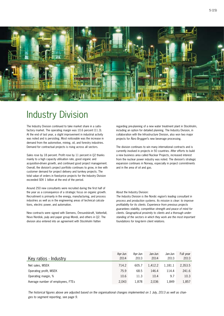

# Industry Division

The Industry Division continued to take market share in a satisfactory market. The operating margin was 10.6 percent (11.3). At the end of last year, a slight improvement in industrial activity was noted and is persisting. Most noticeable was the increase in demand from the automotive, mining, oil, and forestry industries. Demand for contractual projects is rising across all sectors.

Sales rose by 18 percent. Profit rose by 11 percent in Q2 thanks mainly to a high capacity utilisation rate, good organic and acquisition-driven growth, and continued good project management. Overall, the division's project portfolio continues to grow, in line with customer demand for project delivery and turnkey projects. The total value of orders in fixed-price projects for the Industry Division exceeded SEK 1 billion at the end of the period.

Around 250 new consultants were recruited during the first half of the year as a consequence of a strategic focus on organic growth. Recruitment is primarily in the energy, manufacturing, and process industries as well as in the engineering areas of technical calculations, electric power, and automation.

New contracts were signed with Siemens, Öresundskraft, Vattenfall, Novo Nordisk, pulp and paper group Mondi, and others in Q2. The division also entered into an agreement with Stockholm Vatten

regarding pre-planning of a new water treatment plant in Stockholm, including an option for detailed planning. The Industry Division, in collaboration with the Infrastructure Division, also won two major projects for Åbro Bryggeri's new beverage processing.

The division continues to win many international contracts and is currently involved in projects in 50 countries. After efforts to build a new business area called Nuclear Projects, increased interest from the nuclear power industry was noted. The division's strategic expansion continues in Norway, especially in project commitments and in the area of oil and gas.

#### About the Industry Division:

*The Industry Division is the Nordic region's leading consultant in process and production systems. Its mission is clear: to improve profitability for its clients. Experience from previous projects guarantees stability, competitive strength and peace of mind for clients. Geographical proximity to clients and a thorough understanding of the sectors in which they work are the most important foundations for long-term client relations.*

|                                   | Apr-Jun | Apr-Jun | Jan-Jun | Jan-Jun | Full year |
|-----------------------------------|---------|---------|---------|---------|-----------|
| Key ratios - Industry             | 2014    | 2013    | 2014    | 2013    | 2013      |
| Net sales, MSEK                   | 714.2   | 605.7   | 1.412.2 | 1.181.1 | 2,353.5   |
| Operating profit, MSEK            | 75.9    | 68.5    | 146.4   | 114.4   | 241.6     |
| Operating margin, %               | 10.6    | 11.3    | 10.4    | 9.7     | 10.3      |
| Average number of employees, FTEs | 2.043   | 1.878   | 2.036   | 1.849   | 1,857     |

*The historical figures above are adjusted based on the organisational changes implemented on 1 July, 2013 as well as changes to segment reporting, see page 9.*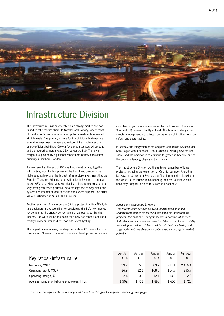

# Infrastructure Division

The Infrastructure Division operated on a strong market and continued to take market share. In Sweden and Norway, where most of the division's business is located, public investments remained at high levels. The primary drivers for the division's business are extensive investments in new and existing infrastructure and in energy-efficient buildings. Growth for the quarter was 14 percent and the operating margin was 12.4 percent (13.3). The lower margin is explained by significant recruitment of new consultants, primarily in northern Sweden.

A major event at the end of Q2 was that Infrastructure, together with Tyréns, won the first phase of the East Link, Sweden's first high-speed railway and the largest infrastructure investment that the Swedish Transport Administration will make in Sweden in the near future. ÅF's task, which was won thanks to leading expertise and a very strong reference portfolio, is to manage the railway plans and system documentation and to assist with expert support. The order value is estimated at SEK 100-300 million.

Another example of new orders in Q2 is a project in which ÅF's lighting designers are responsible for developing the EU's new method for comparing the energy performance of various street lighting fixtures. The work will be the basis for a new eco-friendly and roadworthy European standard for road and street lighting.

The largest business area, Buildings, with about 800 consultants in Sweden and Norway, continued its positive development. A new and

important project was commissioned by the European Spallation Source (ESS) research facility in Lund. ÅF's task is to design the structural equipment with a focus on the research facility's function, safety, and sustainability.

In Norway, the integration of the acquired companies Advansia and Kåre Hagen was a success. The business is winning new market share, and the ambition is to continue to grow and become one of the country's leading players in the long run.

The Infrastructure Division continues to run a number of large projects, including the expansion of Oslo Gardermoen Airport in Norway, the Stockholm Bypass, the City Line tunnel in Stockholm, the West Link rail tunnel in Gothenburg, and the New Karolinska University Hospital in Solna for Skanska Healthcare.

#### About the Infrastructure Division:

*The Infrastructure Division enjoys a leading position in the Scandinavian market for technical solutions for infrastructure projects. The division's strengths include a portfolio of services that offer clients sustainable, hi-tech solutions. Thanks to its ability to develop innovative solutions that boost client profitability and target fulfilment, the division is continuously enhancing its market potential.*

| Key ratios - Infrastructure                 | Apr-Jun<br>2014 | Apr-Jun<br>2013 | Jan-Jun<br>2014 | Jan-Jun<br>2013 | Full year<br>2013 |
|---------------------------------------------|-----------------|-----------------|-----------------|-----------------|-------------------|
| Net sales, MSEK                             | 699.2           | 615.5           | 1.389.2         | 1.211.1         | 2,406.4           |
| Operating profit, MSEK                      | 86.9            | 82.1            | 168.7           | 164.7           | 295.7             |
| Operating margin, %                         | 12.4            | 13.3            | 12.1            | 13.6            | 12.3              |
| Average number of full-time employees, FTEs | 1.902           | 1.712           | 1.897           | 1.656           | 1.720             |

*The historical figures above are adjusted based on changes to segment reporting, see page 9.*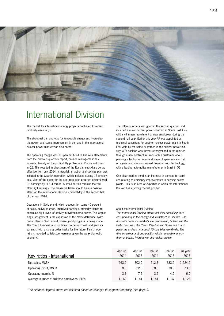

# International Division

The market for international energy projects continued to remain relatively weak in Q2.

The strongest demand was for renewable energy and hydroelectric power, and some improvement in demand in the international nuclear power market was also noted.

The operating margin was 3.3 percent (7.6). In line with statements from the previous quarterly report, division management has focussed heavily on the profitability problems in Russia and Spain in Q2. This resulted in divestment of the Russian subsidiary Lonas effective from July 2014. In parallel, an action and savings plan was initiated in the Spanish operation, which includes cutting 15 employees. Most of the costs for the cost reduction program encumbered Q2 earnings by SEK 4 million. A small portion remains that will affect Q3 earnings. The measures taken should have a positive effect on the International Division's profitability in the second half of the year 2014.

Operations in Switzerland, which account for some 40 percent of sales, delivered good, improved earnings, primarily thanks to continued high levels of activity in hydroelectric power. The largest single assignment is the expansion of the Nante-deDrance hydropower plant in Switzerland, where good progress is being made. The Czech business also continued to perform well and grew its earnings, with a strong order intake for the future. Finnish operations reported satisfactory earnings given the weak domestic economy.

The inflow of orders was good in the second quarter, and included a major nuclear power contract in South East Asia, which will mean recruitment of new employees during the second half year. Earlier this year ÅF was appointed as technical consultant for another nuclear power plant in South East Asia by the same customer. In the nuclear power industry, ÅF's position was further strengthened in the quarter through a new contract in Brazil with a customer who is planning a facility for interim storage of spent nuclear fuel. An agreement was also signed, together with Technology, with a leading automotive manufacturer in Brazil in Q2.

One clear market trend is an increase in demand for services relating to efficiency improvements in existing power plants. This is an area of expertise in which the International Division has a strong market position.

#### About the International Division:

*The International Division offers technical consulting services, primarily in the energy and infrastructure sectors. The division's domestic markets are Switzerland, Finland and the Baltic countries, the Czech Republic and Spain, but it also performs projects in around 70 countries worldwide. The division enjoys a strong position within renewable energy, thermal power, hydropower and nuclear power.*

| Apr-Jun<br>2014 | Apr-Jun<br>2013              | Jan-Jun<br>2014      | Jan-Jun<br>2013      | Full year<br>2013    |
|-----------------|------------------------------|----------------------|----------------------|----------------------|
|                 |                              |                      |                      | 1.224.9              |
|                 |                              |                      |                      | 73.5                 |
|                 |                              |                      |                      | 6.0                  |
|                 | 1.141                        | 1.151                | 1.137                | 1.123                |
|                 | 263.2<br>8.6<br>3.3<br>1,162 | 302.0<br>22.9<br>7.6 | 512.3<br>18.6<br>3.6 | 633.2<br>30.9<br>4.9 |

*The historical figures above are adjusted based on changes to segment reporting, see page 9.*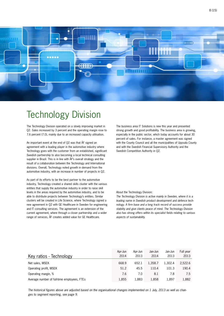

# Technology Division

The Technology Division operated on a slowly improving market in Q2. Sales increased by 3 percent and the operating margin rose to 7.6 percent (7.0), mainly due to an increased capacity utilisation.

An important event at the end of Q2 was that ÅF signed an agreement with a leading player in the automotive industry where Technology goes with the customer from an established, significant Swedish partnership to also becoming a local technical consulting supplier in Brazil. This is in line with ÅF's overall strategy and the result of a collaboration between the Technology and International divisions. Overall, Technology noted growth in demand from the automotive industry, with an increase in number of projects in Q2.

As part of its efforts to be the best partner to the automotive industry, Technology created a shared skills cluster with the various entities that supply the automotive industry in order to raise skill levels in the areas required by the automotive industry, and to be able to distribute projects between Technology's entities. Similar clusters will be created in Life Science, where Technology signed a new agreement in Q2 with GE Healthcare in Sweden for engineering and IT consulting services. The agreement is an extension of the current agreement, where through a closer partnership and a wider range of services, ÅF creates added value for GE Healthcare.

The business area IT Solutions is new this year and presented strong growth and good profitability. The business area is growing, especially in the public sector, which today accounts for about 30 percent of sales. For instance, a master agreement was signed with the County Council and all the municipalities of Uppsala County and with the Swedish Financial Supervisory Authority and the Swedish Competition Authority in Q2.

#### About the Technology Division:

*The Technology Division is active mainly in Sweden, where it is a leading name in Swedish product development and defence technology. A firm base and a long track record of success provide stability and give clients peace of mind. The Technology Division also has strong offers within its specialist fields relating to various aspects of sustainability.* 

|                                             | Apr-Jun | Apr-Jun | Jan-Jun | Jan-Jun | Full year |
|---------------------------------------------|---------|---------|---------|---------|-----------|
| Key ratios - Technology                     | 2014    | 2013    | 2014    | 2013    | 2013      |
| Net sales, MSEK                             | 668.9   | 652.1   | 1.358.7 | 1.302.4 | 2,522.6   |
| Operating profit, MSEK                      | 51.2    | 45.5    | 110.4   | 101.3   | 190.4     |
| Operating margin, %                         | 7.6     | 7.0     | 8.1     | 7.8     | 7.5       |
| Average number of full-time employees, FTEs | 1.855   | 1.883   | 1.858   | 1.897   | 1,882     |

*The historical figures above are adjusted based on the organisational changes implemented on 1 July, 2013 as well as changes to segment reporting, see page 9.*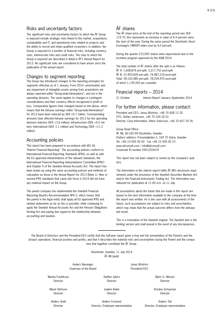#### Risks and uncertainty factors

The significant risks and uncertainty factors to which the ÅF Group is exposed include strategic risks linked to the market, acquisitions, sustainability and IT, and operational risks related to projects and the ability to recruit and retain qualified co-workers. In addition, the Group is exposed to a number of financial risks, including currency risks, interest-rate risks and credit risks. The risks to which the Group is exposed are described in detail in ÅF's Annual Report for 2013. No significant risks are considered to have arisen since the publication of the annual report.

### Changes to segment reporting

The Group has introduced changes to the reporting principles for segments effective as of 1 January. From 2014, amortisation and any impairment of intangible assets arising from acquisitions are always reported within "Group-wide/eliminations", and not in the operating divisions. The same applies to changes in contingent considerations and their currency effects recognised in profit or loss. Comparative figures have changed based on the above, which means that the full-year earnings within "Group-wide/eliminations" for 2013 have been reduced by SEK 19.7 million. Corresponding amounts have affected full-year earnings for 2013 for the operating divisions Industry (SEK +3.6 million), Infrastructure (SEK +6.0 million), International (SEK -1.1 million) and Technology (SEK +11.2 million).

# Accounting policies

This report has been prepared in accordance with IAS 34, "Interim Financial Reporting". The accounting policies conform to International Financial Reporting Standards (IFRS), as well as with the EU approved interpretations of the relevant standards, the International Financial Reporting Interpretations Committee (IFRIC) and Chapter 9 of the Swedish Annual Accounts Act. The report has been drawn up using the same accounting policies and methods of calculation as those in the Annual Report for 2013 (Note 1). New or revised IFRS standards that came into force in 2014 did not have any material impact on the Group.

The parent company has implemented the Swedish Financial Reporting Board's Recommendation RFR 2, which means that the parent in the legal entity shall apply all EU approved IFRS and related statements as far as this is possible, while continuing to apply the Swedish Annual Accounts Act and the Pension Obligations Vesting Act and paying due regard to the relationship between accounting and taxation.

# ÅF shares

The ÅF share price at the end of the reporting period was SEK 119.75; this represents an increase in value of 6.4 percent since the start of the year. During the same period the Stockholm Stock Exchange's OMXSPI index rose by 6.0 percent.

During the quarter 215,000 shares were repurchased due to the incentive program approved by the AGM 2014.

The total number of ÅF shares after the split is as follows: ÅF A: 1,608,876 pre-split, 3,217,752 post-split ÅF B: 37,493,609 pre-split, 74,987,218 post-split Total: 39,102,485 pre-split, 78,204,970 post-split of which 1,139,320 are custodial

### Financial reports – 2014

21 October Interim Report January–September 2014

### For further information, please contact:

President and CEO, Jonas Wiström, +46 70 608 12 20 CFO, Stefan Johansson, +46 70 224 24 01 Director, Corp Information, Viktor Svensson, +46 70 657 20 26

Group Head Office: ÅF AB, SE-169 99 Stockholm, Sweden Visitors' address: Frösundaleden 2, 169 70 Solna, Sweden Tel. +46 10 505 00 00 Fax +46 10 505 00 10 www.afconsult.com / info@afconsult.com Corporate ID number 556120-6474

*This report has not been subject to review by the company's auditors.*

*The information in this interim report fulfils ÅF AB's disclosure requirements under the provisions of the Swedish Securities Markets Act and/or the Financial Instruments Trading Act. The information was released for publication at 11.00 a.m. on 11 July.*

*All assumptions about the future that are made in this report are based on the best information available to the company at the time the report was written. As is the case with all assessments of the future, such assumptions are subject to risks and uncertainties, which may mean that the actual outcome differs from the anticipated result.*

*This is a translation of the Swedish original. The Swedish text is the binding version and shall prevail in the event of any discrepancies.*

The Board of Directors and the President/CEO certify that this half-year report gives a true and fair presentation of the Parent's and the Group's operations, financial position and profits, and that it describes the material risks and uncertainties facing the Parent and the companies that together constitute the ÅF Group.

> Stockholm, Sweden, 11 July 2014 ÅF AB (publ)

Chairman of the Board **President** *CEO* 

Anders Narvinger and a state of the Jonas Wiström

Director Director Director

Director Director Director

Anders Snell Anders Forslund Anders Toll Director Director, Employee representative Director, Employee representative

Marika Fredrikson Staffan Jufors Björn O. Nilsson

Maud Olofsson **Maudition** Joakim Rubin Maud Chartest Kristina Schauman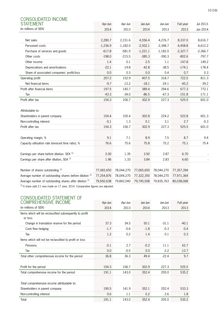| CONSOLIDATED INCOME                                     |            |            |            |            |            |            |  |
|---------------------------------------------------------|------------|------------|------------|------------|------------|------------|--|
| STATEMENT                                               | Apr-Jun    | Apr-Jun    | Jan-Jun    | Jan-Jun    | Full year  | Jul 2013-  |  |
| (in millions of SEK)                                    | 2014       | 2013       | 2014       | 2013       | 2013       | Jun 2014   |  |
|                                                         |            |            |            |            |            |            |  |
| Net sales                                               | 2,280.7    | 2,151.6    | 4,556.4    | 4,276.7    | 8,337.0    | 8,616.7    |  |
| Personnel costs                                         | $-1,236.9$ | $-1,182.0$ | $-2,502.1$ | $-2,348.7$ | $-4,458.8$ | $-4,612.2$ |  |
| Purchase of services and goods                          | $-617.8$   | $-581.9$   | $-1,221.1$ | $-1,182.0$ | $-2,327.7$ | $-2,366.7$ |  |
| Other costs                                             | $-198.0$   | $-215.5$   | $-385.3$   | $-390.3$   | $-802.6$   | $-797.7$   |  |
| Other income                                            | 1.4        | 0.1        | 2.5        | 1.1        | 147.8      | 149.2      |  |
| Depreciations and amortisations                         | $-22.1$    | $-19.8$    | $-42.8$    | $-38.5$    | $-174.1$   | $-178.4$   |  |
| Share of associated companies' profit/loss              | 0.0        | 0.3        | 0.0        | 0.4        | 0.7        | 0.3        |  |
| Operating profit                                        | 207.2      | 152.9      | 407.5      | 318.7      | 722.5      | 811.3      |  |
| Net financial items                                     | $-9.7$     | $-12.2$    | $-18.1$    | $-24.1$    | $-45.2$    | $-39.2$    |  |
| Profit after financial items                            | 197.5      | 140.7      | 389.4      | 294.6      | 677.3      | 772.1      |  |
| Tax                                                     | $-43.3$    | $-34.0$    | $-86.5$    | $-67.3$    | $-151.8$   | $-171.1$   |  |
| Profit after tax                                        | 154.3      | 106.7      | 302.9      | 227.3      | 525.5      | 601.0      |  |
|                                                         |            |            |            |            |            |            |  |
| Attributable to:                                        |            |            |            |            |            |            |  |
| Shareholders in parent company                          | 154.4      | 105.4      | 302.8      | 224.2      | 522.8      | 601.3      |  |
| Non-controlling interest                                | $-0.1$     | 1.3        | 0.1        | 3.1        | 2.7        | $-0.3$     |  |
| Profit after tax                                        | 154.3      | 106.7      | 302.9      | 227.3      | 525.5      | 601.0      |  |
|                                                         |            |            |            |            |            |            |  |
| Operating margin, %                                     | 9.1        | 7.1        | 8.9        | 7.5        | 8.7        | 9.4        |  |
| Capacity utilisation rate (invoiced time ratio), %      | 76.6       | 75.6       | 75.8       | 75.2       | 75.1       | 75.4       |  |
|                                                         |            |            |            |            |            |            |  |
| Earnings per share before dilution. SEK 1)              | 2.00       | 1.35       | 3.92       | 2.87       | 6.70       |            |  |
| Earnings per share after dilution, SEK 1)               | 1.96       | 1.33       | 3.84       | 2.83       | 6.60       |            |  |
|                                                         |            |            |            |            |            |            |  |
| Number of shares outstanding 1)                         | 77,065,650 | 78,044,270 | 77,065,650 | 78,044,270 | 77,357,394 |            |  |
| Average number of outstanding shares before dilution 1) | 77,254,876 | 78,044,270 | 77,322,350 | 78,044,270 | 77,971,364 |            |  |
| Average number of outstanding shares after dilution 1)  | 79,650,638 | 79,842,040 | 79,745,508 | 79,835,763 | 80,038,068 |            |  |
|                                                         |            |            |            |            |            |            |  |

 $1)$  A share split 2:1 was made on 17 June, 2014. Comparative figures are adjusted.

# CONSOLIDATED STATEMENT OF

| <b>COMPREHENSIVE INCOME</b>                                        | Apr-Jun | Apr-Jun | Jan-Jun | Jan-Jun | Full year |
|--------------------------------------------------------------------|---------|---------|---------|---------|-----------|
| (in millions of SEK)                                               | 2014    | 2013    | 2014    | 2013    | 2013      |
| Items which will be reclassified subsequently to profit<br>or loss |         |         |         |         |           |
| Change in translation reserve for the period                       | 37.3    | 34.5    | 50.1    | $-31.1$ | $-40.1$   |
| Cash flow hedging                                                  | $-1.7$  | $-0.6$  | $-1.8$  | $-0.3$  | $-0.4$    |
| Tax                                                                | 1.2     | 0.2     | 1.4     | 0.1     | 0.3       |
| Items which will not be reclassified to profit or loss             |         |         |         |         |           |
| Pensions                                                           | $-0.1$  | 2.7     | $-0.2$  | 11.1    | 62.7      |
| Tax                                                                | 0.0     | $-0.5$  | 0.0     | $-2.2$  | $-12.7$   |
| Total other comprehensive income for the period                    | 36.8    | 36.3    | 49.4    | $-22.4$ | 9.7       |
|                                                                    |         |         |         |         |           |
| Profit for the period                                              | 154.3   | 106.7   | 302.9   | 227.3   | 525.5     |
| Total comprehensive income for the period                          | 191.1   | 143.0   | 352.4   | 205.0   | 535.2     |
|                                                                    |         |         |         |         |           |
| Total comprehensive income attributable to:                        |         |         |         |         |           |
| Shareholders in parent company                                     | 190.5   | 141.9   | 352.1   | 202.4   | 533.3     |
| Non-controlling interest                                           | 0.6     | 1.1     | 0.2     | 2.6     | 1.8       |
| Total                                                              | 191.1   | 143.0   | 352.4   | 205.0   | 535.2     |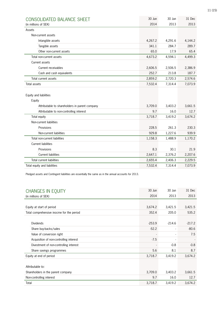| CONSOLIDATED BALANCE SHEET                     | 30 Jun  | 30 Jun  | 31 Dec  |
|------------------------------------------------|---------|---------|---------|
| (in millions of SEK)                           | 2014    | 2013    | 2013    |
| Assets                                         |         |         |         |
| Non-current assets                             |         |         |         |
| Intangible assets                              | 4,267.2 | 4,291.6 | 4,144.2 |
| Tangible assets                                | 341.1   | 284.7   | 289.7   |
| Other non-current assets                       | 65.0    | 17.9    | 65.4    |
| Total non-current assets                       | 4,673.2 | 4,594.1 | 4,499.3 |
| Current assets                                 |         |         |         |
| Current receivables                            | 2,606.5 | 2,506.5 | 2,386.9 |
| Cash and cash equivalents                      | 252.7   | 213.8   | 187.7   |
| Total current assets                           | 2,859.2 | 2,720.3 | 2,574.6 |
| <b>Total assets</b>                            | 7,532.4 | 7,314.4 | 7,073.9 |
|                                                |         |         |         |
| Equity and liabilities                         |         |         |         |
| Equity                                         |         |         |         |
| Attributable to shareholders in parent company | 3,709.0 | 3,403.2 | 3,661.5 |
| Attributable to non-controlling interest       | 9.7     | 16.0    | 12.7    |
| Total equity                                   | 3,718.7 | 3,419.2 | 3,674.2 |
| Non-current liabilities                        |         |         |         |
| Provisions                                     | 228.5   | 261.3   | 230.3   |
| Non-current liabilities                        | 929.8   | 1,227.6 | 939.9   |
| Total non-current liabilities                  | 1,158.3 | 1,488.9 | 1,170.2 |
| <b>Current liabilities</b>                     |         |         |         |
| Provisions                                     | 8.3     | 30.1    | 21.9    |
| <b>Current liabilities</b>                     | 2,647.1 | 2,376.2 | 2,207.6 |
| Total current liabilities                      | 2,655.4 | 2,406.3 | 2,229.5 |
| Total equity and liabilities                   | 7,532.4 | 7,314.4 | 7,073.9 |

Pledged assets and Contingent liabilities are essentially the same as in the annual accounts for 2013.

|       | <b>CHANGES IN EQUITY</b>                  | 30 Jun   | 30 Jun   | 31 Dec   |
|-------|-------------------------------------------|----------|----------|----------|
|       | (in millions of SEK)                      | 2014     | 2013     | 2013     |
|       |                                           |          |          |          |
|       | Equity at start of period                 | 3,674.2  | 3,421.5  | 3,421.5  |
|       | Total comprehensive inocme for the period | 352.4    | 205.0    | 535.2    |
|       |                                           |          |          |          |
|       | <b>Dividends</b>                          | $-253.9$ | $-214.6$ | $-217.2$ |
|       | Share buy-backs/sales                     | $-52.2$  |          | $-80.6$  |
|       | Value of conversion right                 |          |          | 7.5      |
|       | Acquisition of non-controlling interest   | $-7.5$   |          |          |
|       | Divestment of non-controlling interest    |          | $-0.8$   | $-0.8$   |
|       | Share savings programmes                  | 5.6      | 8.1      | 8.7      |
|       | Equity at end of period                   | 3,718.7  | 3,419.2  | 3,674.2  |
|       |                                           |          |          |          |
|       | Attributable to:                          |          |          |          |
|       | Shareholders in the parent company        | 3,709.0  | 3,403.2  | 3,661.5  |
|       | Non-controlling interest                  | 9.7      | 16.0     | 12.7     |
| Total |                                           | 3,718.7  | 3,419.2  | 3,674.2  |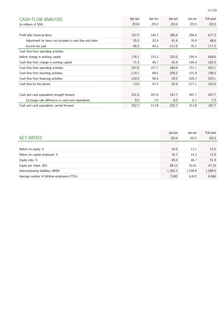| <b>CASH FLOW ANALYSIS</b>                                | Apr-Jun  | Apr-Jun | Jan-Jun  | Jan-Jun  | Full year |
|----------------------------------------------------------|----------|---------|----------|----------|-----------|
| (in millions of SEK)                                     | 2014     | 2013    | 2014     | 2013     | 2013      |
|                                                          |          |         |          |          |           |
| Profit after financial items                             | 197.5    | 140.7   | 389.4    | 294.6    | 677.3     |
| Adjustment for items not included in cash flow and other | 25.0     | 52.9    | 41.6     | 76.9     | 48.6      |
| Income tax paid                                          | $-46.5$  | $-40.2$ | $-111.0$ | $-76.1$  | $-117.3$  |
| Cash flow from operating activities                      |          |         |          |          |           |
| before change in working capital                         | 176.1    | 153.3   | 320.0    | 295.4    | 608.6     |
| Cash flow from change in working capital                 | 71.5     | $-45.7$ | $-35.4$  | $-144.4$ | $-183.5$  |
| Cash flow from operating activities                      | 247.6    | 107.7   | 284.6    | 151.1    | 425.1     |
| Cash flow from investing activities                      | $-114.7$ | $-68.6$ | $-209.2$ | $-101.8$ | $-198.5$  |
| Cash flow from financing activities                      | $-120.0$ | $-96.6$ | $-18.5$  | $-326.3$ | $-529.1$  |
| Cash flow for the period                                 | 13.0     | $-57.5$ | 56.9     | $-277.1$ | $-302.6$  |
|                                                          |          |         |          |          |           |
| Cash and cash equivalents brought forward                | 231.0    | 267.6   | 187.7    | 497.7    | 497.7     |
| Exchange rate difference in cash/cash equivalents        | 8.5      | 3.9     | 8.0      | $-6.7$   | $-7.5$    |
| Cash and cash equivalents carried forward                | 252.7    | 213.8   | 252.7    | 213.8    | 187.7     |

|                                              | Jan-Jun | Jan-Jun | Full year |
|----------------------------------------------|---------|---------|-----------|
| <b>KEY RATIOS</b>                            | 2014    | 2013    | 2013      |
|                                              |         |         |           |
| Return on equity, %                          | 16.6    | 13.1    | 15.0      |
| Return on capital employed, %                | 16.7    | 14.3    | 15.4      |
| Equity ratio, %                              | 49.4    | 46.7    | 51.9      |
| Equity per share, SEK                        | 48.13   | 43.61   | 47.33     |
| Interest-bearing liabilities, MSEK           | 1,383.2 | 1,258.8 | 1,089.0   |
| Average number of full-time employees (FTEs) | 7.042   | 6,622   | 6.666     |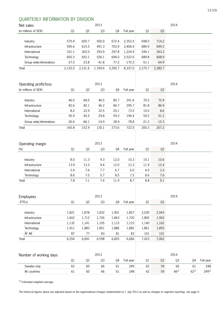# QUARTERLY INFORMATION BY DIVISION

| Net sales |                         |         |                | 2013    |         |           |         |                | 2014 |
|-----------|-------------------------|---------|----------------|---------|---------|-----------|---------|----------------|------|
|           | (in millions of SEK)    | Q1      | Q <sub>2</sub> | Q3      | Q4      | Full year | Q1      | Q <sub>2</sub> |      |
|           |                         |         |                |         |         |           |         |                |      |
|           | Industry                | 575.4   | 605.7          | 500.0   | 672.4   | 2,353.5   | 698.0   | 714.2          |      |
|           | Infrastructure          | 595.6   | 615.5          | 491.3   | 703.9   | 2,406.4   | 689.9   | 699.2          |      |
|           | International           | 331.1   | 302.0          | 293.9   | 297.8   | 1,224.9   | 249.1   | 263.2          |      |
|           | Technology              | 650.3   | 652.1          | 526.1   | 694.0   | 2,522.6   | 689.8   | 668.9          |      |
|           | Group wide/eliminations | $-27.5$ | $-23.8$        | $-41.8$ | $-77.2$ | $-170.3$  | $-51.1$ | $-64.9$        |      |
| Total     |                         | 2,125.0 | 2,151.6        | 1,769.6 | 2,290.7 | 8,337.0   | 2,275.7 | 2,280.7        |      |
|           |                         |         |                |         |         |           |         |                |      |
|           |                         |         |                |         |         |           |         |                |      |
|           | Operating profit/loss   |         |                | 2013    |         |           |         |                | 2014 |
|           | (in millions of SEK)    | Q1      | Q <sub>2</sub> | Q3      | Q4      | Full year | Q1      | Q <sub>2</sub> |      |
|           |                         |         |                |         |         |           |         |                |      |
|           | Industry                | 46.0    | 68.5           | 46.5    | 80.7    | 241.6     | 70.5    | 75.9           |      |
|           | Infrastructure          | 82.6    | 82.1           | 46.2    | 84.7    | 295.7     | 81.8    | 86.9           |      |
|           | International           | 8.0     | 22.9           | 22.5    | 20.1    | 73.5      | 10.0    | 8.6            |      |
|           | Technology              | 55.9    | 45.5           | 29.8    | 59.3    | 190.4     | 59.2    | 51.2           |      |
|           | Group wide/eliminations | $-26.6$ | $-66.1$        | $-14.9$ | 28.9    | $-78.8$   | $-21.2$ | $-15.3$        |      |
| Total     |                         | 165.8   | 152.9          | 130.1   | 273.6   | 722.5     | 200.3   | 207.2          |      |
|           |                         |         |                |         |         |           |         |                |      |
|           |                         |         |                |         |         |           |         |                |      |
|           | Operating margin        |         |                | 2013    |         |           |         |                | 2014 |
| (%)       |                         | Q1      | Q <sub>2</sub> | Q3      | Q4      | Full year | Q1      | Q <sub>2</sub> |      |
|           |                         |         |                |         |         |           |         |                |      |
|           | Industry                | 8.0     | 11.3           | 9.3     | 12.0    | 10.3      | 10.1    | 10.6           |      |
|           | Infrastructure          | 13.9    | 13.3           | 9.4     | 12.0    | 12.3      | 11.9    | 12.4           |      |
|           | International           | 2.4     | 7.6            | 7.7     | 6.7     | 6.0       | 4.0     | 3.3            |      |
|           | Technology              | 8.6     | 7.0            | 5.7     | 8.5     | 7.5       | 8.6     | 7.6            |      |

| <b>Employees</b> |       |                | 2013  |       |           |       |                | 2014 |
|------------------|-------|----------------|-------|-------|-----------|-------|----------------|------|
| (FTEs)           | Q1    | Q <sub>2</sub> | Q3    | Q4    | Full year | Q1    | Q <sub>2</sub> |      |
|                  |       |                |       |       |           |       |                |      |
| Industry         | 1,821 | 1,878          | 1,832 | 1,901 | 1,857     | 2,030 | 2,043          |      |
| Infrastructure   | 1,602 | 1,712          | 1,726 | 1,843 | 1,720     | 1,892 | 1,902          |      |
| International    | 1,132 | 1,141          | 1,105 | 1,115 | 1,123     | 1,140 | 1,162          |      |
| Technology       | 1,911 | 1,883          | 1,851 | 1,886 | 1,882     | 1,861 | 1,855          |      |
| ÅF AB            | 87    | 77             | 83    | 81    | 83        | 101   | 101            |      |
| Total            | 6,554 | 6,691          | 6,598 | 6,825 | 6,666     | 7,023 | 7,062          |      |
|                  |       |                |       |       |           |       |                |      |

Total 7.8 7.1 7.4 11.9 8.7 8.8 9.1

| Number of working days | 2013 |    |    |    | 2014      |    |    |           |           |           |
|------------------------|------|----|----|----|-----------|----|----|-----------|-----------|-----------|
|                        |      | 02 | 03 | 04 | Full year |    | 02 | 03        | 04        | Full year |
| Sweden only            | 62   | 60 | 66 | 61 | 249       | 62 | 59 | 66        | -61       | 248       |
| All countries          | 61   | 60 | 66 | 61 | 248       | 62 | 59 | $66^{11}$ | $62^{11}$ | $249^{1}$ |
|                        |      |    |    |    |           |    |    |           |           |           |

1) Estimated weighted average.

The historical figures above are adjusted based on the organisational changes implemented on 1 July 2013 as well as changes to segment reporting, see page 9.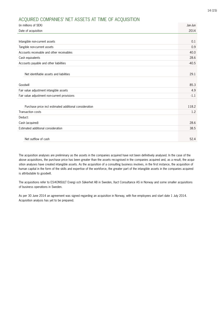#### 14 (15)

## ACQUIRED COMPANIES' NET ASSETS AT TIME OF ACQUISITION

| (in millions of SEK)                                   | Jan-Jun |
|--------------------------------------------------------|---------|
| Date of acquisition                                    | 2014    |
|                                                        |         |
| Intangible non-current assets                          | 0.1     |
| Tangible non-current assets                            | 0.9     |
| Accounts receivable and other receivables              | 40.0    |
| Cash equivalents                                       | 28.6    |
| Accounts payable and other liabilities                 | $-40.5$ |
|                                                        |         |
| Net identifiable assets and liabilities                | 29.1    |
|                                                        |         |
| Goodwill                                               | 85.3    |
| Fair value adjustment intangible assets                | 4.9     |
| Fair value adjustment non-current provisions           | $-1.1$  |
|                                                        |         |
| Purchase price incl estimated additional consideration | 118.2   |
| Transaction costs                                      | 1.2     |
| Deduct:                                                |         |
| Cash (acquired)                                        | 28.6    |
| Estimated additional consideration                     | 38.5    |
|                                                        |         |
| Net outflow of cash                                    | 52.4    |

The acquisition analyses are preliminary as the assets in the companies acquired have not been definitively analysed. In the case of the above acquisitions, the purchase price has been greater than the assets recognised in the companies acquired and, as a result, the acquisition analyses have created intangible assets. As the acquisition of a consulting business involves, in the first instance, the acquisition of human capital in the form of the skills and expertise of the workforce, the greater part of the intangible assets in the companies acquired is attributable to goodwill.

The acquisitions refer to ES-KONSULT Energi och Säkerhet AB in Sweden, Xact Consultance AS in Norway and some smaller acquisitions of business operations in Sweden.

As per 30 June 2014 an agreement was signed regarding an acquisition in Norway, with five employees and start date 1 July 2014. Acquisition analysis has yet to be prepared.